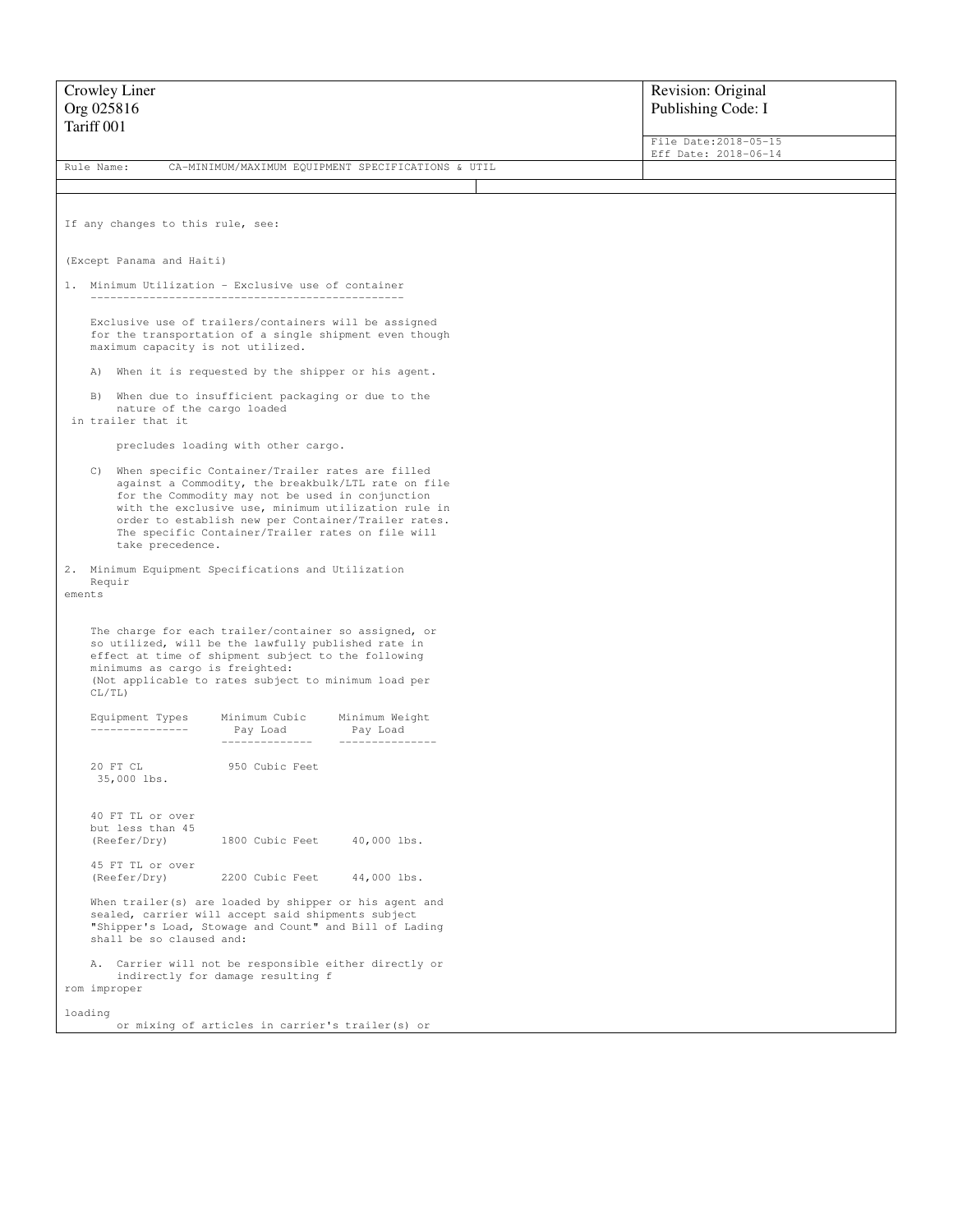| Crowley Liner                                                                                              |                                                                                                                                                                                                                                                                                                                                                       |                                                         |  | Revision: Original                            |  |
|------------------------------------------------------------------------------------------------------------|-------------------------------------------------------------------------------------------------------------------------------------------------------------------------------------------------------------------------------------------------------------------------------------------------------------------------------------------------------|---------------------------------------------------------|--|-----------------------------------------------|--|
| Org 025816<br>Tariff 001                                                                                   |                                                                                                                                                                                                                                                                                                                                                       |                                                         |  | Publishing Code: I                            |  |
|                                                                                                            |                                                                                                                                                                                                                                                                                                                                                       |                                                         |  | File Date: 2018-05-15<br>Eff Date: 2018-06-14 |  |
| Rule Name:                                                                                                 |                                                                                                                                                                                                                                                                                                                                                       | CA-MINIMUM/MAXIMUM EQUIPMENT SPECIFICATIONS & UTIL      |  |                                               |  |
|                                                                                                            |                                                                                                                                                                                                                                                                                                                                                       |                                                         |  |                                               |  |
| If any changes to this rule, see:                                                                          |                                                                                                                                                                                                                                                                                                                                                       |                                                         |  |                                               |  |
| (Except Panama and Haiti)                                                                                  |                                                                                                                                                                                                                                                                                                                                                       |                                                         |  |                                               |  |
| 1. Minimum Utilization - Exclusive use of container                                                        |                                                                                                                                                                                                                                                                                                                                                       |                                                         |  |                                               |  |
| Exclusive use of trailers/containers will be assigned<br>maximum capacity is not utilized.                 |                                                                                                                                                                                                                                                                                                                                                       | for the transportation of a single shipment even though |  |                                               |  |
| A)                                                                                                         | When it is requested by the shipper or his agent.                                                                                                                                                                                                                                                                                                     |                                                         |  |                                               |  |
| When due to insufficient packaging or due to the<br>B)<br>nature of the cargo loaded<br>in trailer that it |                                                                                                                                                                                                                                                                                                                                                       |                                                         |  |                                               |  |
|                                                                                                            | precludes loading with other cargo.                                                                                                                                                                                                                                                                                                                   |                                                         |  |                                               |  |
|                                                                                                            | C) When specific Container/Trailer rates are filled<br>against a Commodity, the breakbulk/LTL rate on file<br>for the Commodity may not be used in conjunction<br>with the exclusive use, minimum utilization rule in<br>order to establish new per Container/Trailer rates.<br>The specific Container/Trailer rates on file will<br>take precedence. |                                                         |  |                                               |  |
| 2. Minimum Equipment Specifications and Utilization<br>Requir<br>ements                                    |                                                                                                                                                                                                                                                                                                                                                       |                                                         |  |                                               |  |
| minimums as cargo is freighted:<br>CL/TL)                                                                  | The charge for each trailer/container so assigned, or<br>so utilized, will be the lawfully published rate in<br>effect at time of shipment subject to the following<br>(Not applicable to rates subject to minimum load per                                                                                                                           |                                                         |  |                                               |  |
| Equipment Types<br>---------------                                                                         | Minimum Cubic Minimum Weight<br>Pay Load<br>--------------                                                                                                                                                                                                                                                                                            | Pay Load                                                |  |                                               |  |
| 20 FT CL<br>35,000 lbs.                                                                                    | 950 Cubic Feet                                                                                                                                                                                                                                                                                                                                        |                                                         |  |                                               |  |
| 40 FT TL or over<br>but less than 45<br>(Reefer/Dry)                                                       | 1800 Cubic Feet                                                                                                                                                                                                                                                                                                                                       | $40,000$ lbs.                                           |  |                                               |  |
| 45 FT TL or over<br>(Reefer/Dry)                                                                           | 2200 Cubic Feet                                                                                                                                                                                                                                                                                                                                       | 44,000 lbs.                                             |  |                                               |  |
| shall be so claused and:                                                                                   | When trailer(s) are loaded by shipper or his agent and<br>sealed, carrier will accept said shipments subject<br>"Shipper's Load, Stowage and Count" and Bill of Lading                                                                                                                                                                                |                                                         |  |                                               |  |
| rom improper                                                                                               | A. Carrier will not be responsible either directly or<br>indirectly for damage resulting f                                                                                                                                                                                                                                                            |                                                         |  |                                               |  |
| loading                                                                                                    | or mixing of articles in carrier's trailer(s) or                                                                                                                                                                                                                                                                                                      |                                                         |  |                                               |  |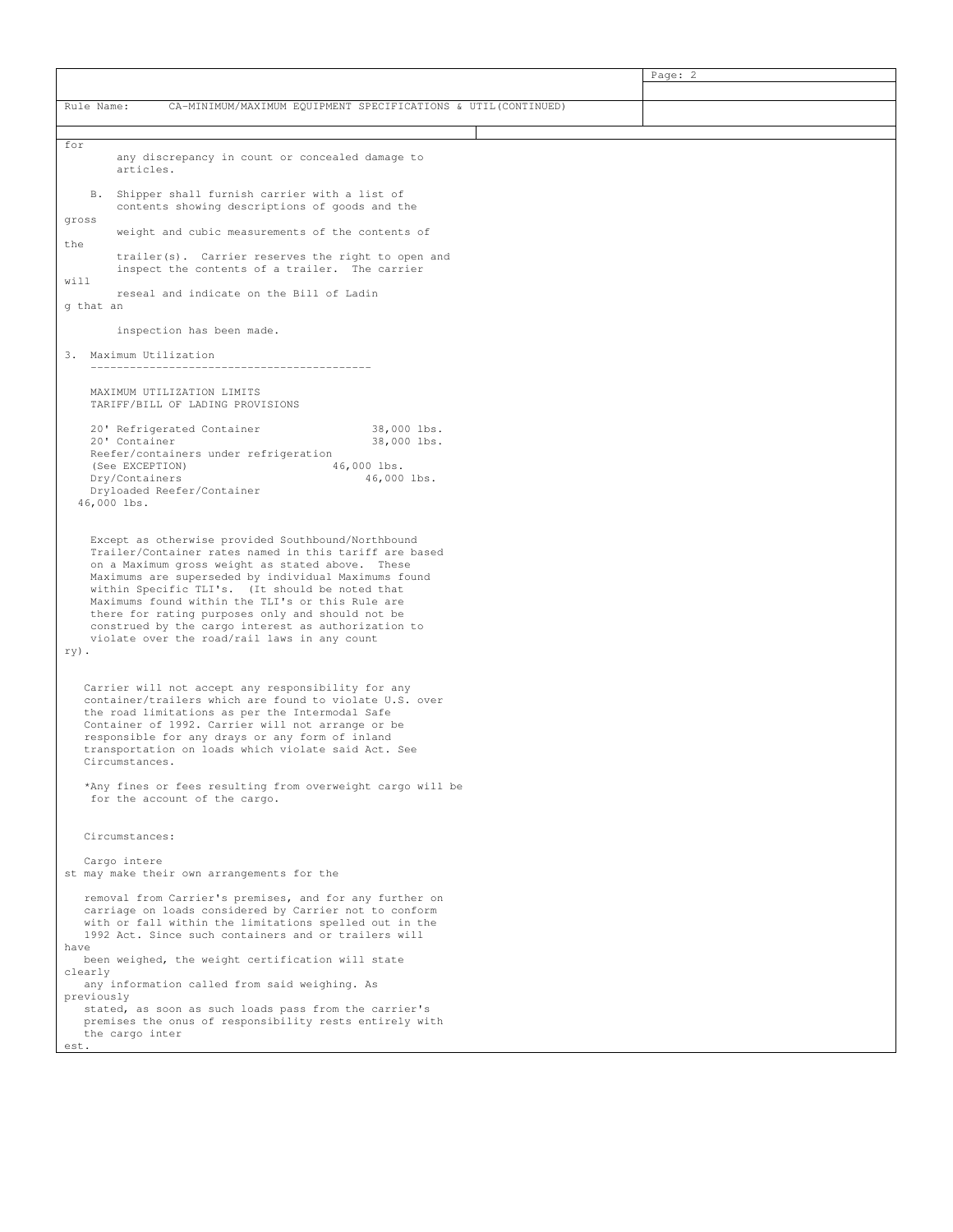|                                                                                                                                                                                                                                                                                                                                                                                                                                                                                            |                                                                                                                                                                                                                                                                                                                                                   |  | Page: 2 |  |  |  |
|--------------------------------------------------------------------------------------------------------------------------------------------------------------------------------------------------------------------------------------------------------------------------------------------------------------------------------------------------------------------------------------------------------------------------------------------------------------------------------------------|---------------------------------------------------------------------------------------------------------------------------------------------------------------------------------------------------------------------------------------------------------------------------------------------------------------------------------------------------|--|---------|--|--|--|
|                                                                                                                                                                                                                                                                                                                                                                                                                                                                                            |                                                                                                                                                                                                                                                                                                                                                   |  |         |  |  |  |
| Rule Name:                                                                                                                                                                                                                                                                                                                                                                                                                                                                                 | CA-MINIMUM/MAXIMUM EQUIPMENT SPECIFICATIONS & UTIL(CONTINUED)                                                                                                                                                                                                                                                                                     |  |         |  |  |  |
|                                                                                                                                                                                                                                                                                                                                                                                                                                                                                            |                                                                                                                                                                                                                                                                                                                                                   |  |         |  |  |  |
| for                                                                                                                                                                                                                                                                                                                                                                                                                                                                                        |                                                                                                                                                                                                                                                                                                                                                   |  |         |  |  |  |
|                                                                                                                                                                                                                                                                                                                                                                                                                                                                                            | any discrepancy in count or concealed damage to<br>articles.                                                                                                                                                                                                                                                                                      |  |         |  |  |  |
| <b>B.</b><br>gross<br>the                                                                                                                                                                                                                                                                                                                                                                                                                                                                  | Shipper shall furnish carrier with a list of<br>contents showing descriptions of goods and the                                                                                                                                                                                                                                                    |  |         |  |  |  |
|                                                                                                                                                                                                                                                                                                                                                                                                                                                                                            | weight and cubic measurements of the contents of                                                                                                                                                                                                                                                                                                  |  |         |  |  |  |
|                                                                                                                                                                                                                                                                                                                                                                                                                                                                                            | trailer(s). Carrier reserves the right to open and<br>inspect the contents of a trailer. The carrier                                                                                                                                                                                                                                              |  |         |  |  |  |
| will<br>g that an                                                                                                                                                                                                                                                                                                                                                                                                                                                                          | reseal and indicate on the Bill of Ladin                                                                                                                                                                                                                                                                                                          |  |         |  |  |  |
|                                                                                                                                                                                                                                                                                                                                                                                                                                                                                            | inspection has been made.                                                                                                                                                                                                                                                                                                                         |  |         |  |  |  |
|                                                                                                                                                                                                                                                                                                                                                                                                                                                                                            |                                                                                                                                                                                                                                                                                                                                                   |  |         |  |  |  |
|                                                                                                                                                                                                                                                                                                                                                                                                                                                                                            | 3. Maximum Utilization                                                                                                                                                                                                                                                                                                                            |  |         |  |  |  |
|                                                                                                                                                                                                                                                                                                                                                                                                                                                                                            | MAXIMUM UTILIZATION LIMITS<br>TARIFF/BILL OF LADING PROVISIONS<br>20' Refrigerated Container<br>38,000 lbs.                                                                                                                                                                                                                                       |  |         |  |  |  |
|                                                                                                                                                                                                                                                                                                                                                                                                                                                                                            | 20' Container<br>38,000 lbs.<br>Reefer/containers under refrigeration<br>(See EXCEPTION)<br>46,000 lbs.                                                                                                                                                                                                                                           |  |         |  |  |  |
|                                                                                                                                                                                                                                                                                                                                                                                                                                                                                            | Dry/Containers<br>46,000 lbs.<br>Dryloaded Reefer/Container<br>46,000 lbs.                                                                                                                                                                                                                                                                        |  |         |  |  |  |
| Except as otherwise provided Southbound/Northbound<br>Trailer/Container rates named in this tariff are based<br>on a Maximum gross weight as stated above. These<br>Maximums are superseded by individual Maximums found<br>within Specific TLI's. (It should be noted that<br>Maximums found within the TLI's or this Rule are<br>there for rating purposes only and should not be<br>construed by the cargo interest as authorization to<br>violate over the road/rail laws in any count |                                                                                                                                                                                                                                                                                                                                                   |  |         |  |  |  |
| ry).                                                                                                                                                                                                                                                                                                                                                                                                                                                                                       |                                                                                                                                                                                                                                                                                                                                                   |  |         |  |  |  |
|                                                                                                                                                                                                                                                                                                                                                                                                                                                                                            | Carrier will not accept any responsibility for any<br>container/trailers which are found to violate U.S. over<br>the road limitations as per the Intermodal Safe<br>Container of 1992. Carrier will not arrange or be<br>responsible for any drays or any form of inland<br>transportation on loads which violate said Act. See<br>Circumstances. |  |         |  |  |  |
|                                                                                                                                                                                                                                                                                                                                                                                                                                                                                            | *Any fines or fees resulting from overweight cargo will be<br>for the account of the cargo.                                                                                                                                                                                                                                                       |  |         |  |  |  |
|                                                                                                                                                                                                                                                                                                                                                                                                                                                                                            | Circumstances:                                                                                                                                                                                                                                                                                                                                    |  |         |  |  |  |
|                                                                                                                                                                                                                                                                                                                                                                                                                                                                                            | Cargo intere<br>st may make their own arrangements for the                                                                                                                                                                                                                                                                                        |  |         |  |  |  |
| have                                                                                                                                                                                                                                                                                                                                                                                                                                                                                       | removal from Carrier's premises, and for any further on<br>carriage on loads considered by Carrier not to conform<br>with or fall within the limitations spelled out in the<br>1992 Act. Since such containers and or trailers will                                                                                                               |  |         |  |  |  |
| clearly                                                                                                                                                                                                                                                                                                                                                                                                                                                                                    | been weighed, the weight certification will state                                                                                                                                                                                                                                                                                                 |  |         |  |  |  |
| previously                                                                                                                                                                                                                                                                                                                                                                                                                                                                                 | any information called from said weighing. As                                                                                                                                                                                                                                                                                                     |  |         |  |  |  |
|                                                                                                                                                                                                                                                                                                                                                                                                                                                                                            | stated, as soon as such loads pass from the carrier's<br>premises the onus of responsibility rests entirely with<br>the cargo inter<br>est.                                                                                                                                                                                                       |  |         |  |  |  |
|                                                                                                                                                                                                                                                                                                                                                                                                                                                                                            |                                                                                                                                                                                                                                                                                                                                                   |  |         |  |  |  |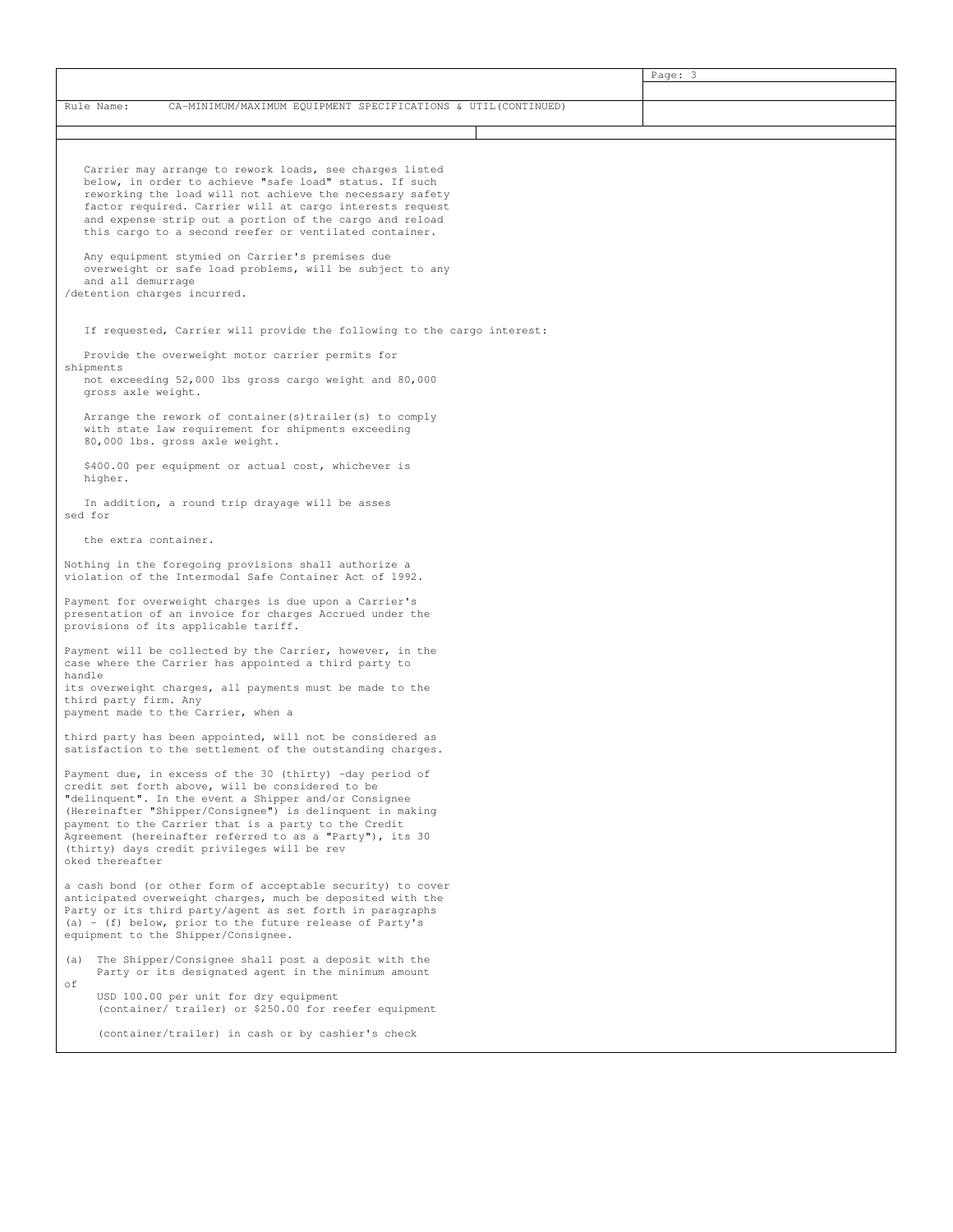|                                                                                                                                                                                                                                                                                                                                                                                                                                                                                                                                                                                                                                                                   | Page: 3 |  |  |  |
|-------------------------------------------------------------------------------------------------------------------------------------------------------------------------------------------------------------------------------------------------------------------------------------------------------------------------------------------------------------------------------------------------------------------------------------------------------------------------------------------------------------------------------------------------------------------------------------------------------------------------------------------------------------------|---------|--|--|--|
| CA-MINIMUM/MAXIMUM EQUIPMENT SPECIFICATIONS & UTIL(CONTINUED)<br>Rule Name:                                                                                                                                                                                                                                                                                                                                                                                                                                                                                                                                                                                       |         |  |  |  |
|                                                                                                                                                                                                                                                                                                                                                                                                                                                                                                                                                                                                                                                                   |         |  |  |  |
| Carrier may arrange to rework loads, see charges listed<br>below, in order to achieve "safe load" status. If such<br>reworking the load will not achieve the necessary safety<br>factor required. Carrier will at cargo interests request<br>and expense strip out a portion of the cargo and reload<br>this cargo to a second reefer or ventilated container.<br>Any equipment stymied on Carrier's premises due<br>overweight or safe load problems, will be subject to any<br>and all demurrage<br>/detention charges incurred.<br>If requested, Carrier will provide the following to the cargo interest:<br>Provide the overweight motor carrier permits for |         |  |  |  |
| shipments<br>not exceeding 52,000 lbs gross cargo weight and 80,000<br>gross axle weight.<br>Arrange the rework of container(s)trailer(s) to comply<br>with state law requirement for shipments exceeding<br>80,000 lbs. gross axle weight.                                                                                                                                                                                                                                                                                                                                                                                                                       |         |  |  |  |
| \$400.00 per equipment or actual cost, whichever is<br>higher.                                                                                                                                                                                                                                                                                                                                                                                                                                                                                                                                                                                                    |         |  |  |  |
| In addition, a round trip drayage will be asses<br>sed for                                                                                                                                                                                                                                                                                                                                                                                                                                                                                                                                                                                                        |         |  |  |  |
| the extra container.                                                                                                                                                                                                                                                                                                                                                                                                                                                                                                                                                                                                                                              |         |  |  |  |
| Nothing in the foregoing provisions shall authorize a<br>violation of the Intermodal Safe Container Act of 1992.                                                                                                                                                                                                                                                                                                                                                                                                                                                                                                                                                  |         |  |  |  |
| Payment for overweight charges is due upon a Carrier's<br>presentation of an invoice for charges Accrued under the<br>provisions of its applicable tariff.                                                                                                                                                                                                                                                                                                                                                                                                                                                                                                        |         |  |  |  |
| Payment will be collected by the Carrier, however, in the<br>case where the Carrier has appointed a third party to<br>handle<br>its overweight charges, all payments must be made to the<br>third party firm. Any<br>payment made to the Carrier, when a                                                                                                                                                                                                                                                                                                                                                                                                          |         |  |  |  |
| third party has been appointed, will not be considered as<br>satisfaction to the settlement of the outstanding charges.                                                                                                                                                                                                                                                                                                                                                                                                                                                                                                                                           |         |  |  |  |
| Payment due, in excess of the 30 (thirty) -day period of<br>credit set forth above, will be considered to be<br>"delinquent". In the event a Shipper and/or Consignee<br>(Hereinafter "Shipper/Consignee") is delinquent in making<br>payment to the Carrier that is a party to the Credit<br>Agreement (hereinafter referred to as a "Party"), its 30<br>(thirty) days credit privileges will be rev<br>oked thereafter                                                                                                                                                                                                                                          |         |  |  |  |
| a cash bond (or other form of acceptable security) to cover<br>anticipated overweight charges, much be deposited with the<br>Party or its third party/agent as set forth in paragraphs<br>(a) - (f) below, prior to the future release of Party's<br>equipment to the Shipper/Consignee.                                                                                                                                                                                                                                                                                                                                                                          |         |  |  |  |
| (a) The Shipper/Consignee shall post a deposit with the<br>Party or its designated agent in the minimum amount<br>оf<br>USD 100.00 per unit for dry equipment                                                                                                                                                                                                                                                                                                                                                                                                                                                                                                     |         |  |  |  |
| (container/ trailer) or \$250.00 for reefer equipment<br>(container/trailer) in cash or by cashier's check                                                                                                                                                                                                                                                                                                                                                                                                                                                                                                                                                        |         |  |  |  |
|                                                                                                                                                                                                                                                                                                                                                                                                                                                                                                                                                                                                                                                                   |         |  |  |  |